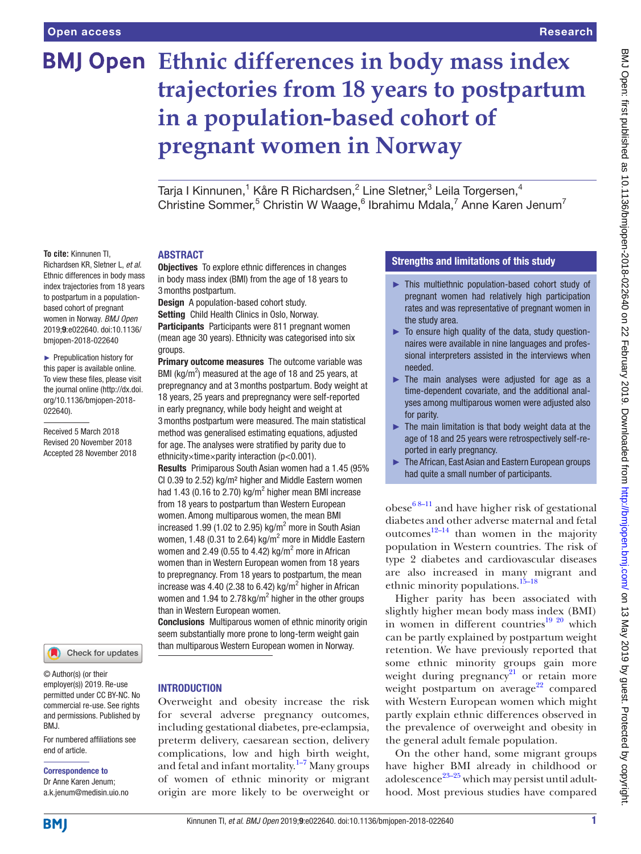**To cite:** Kinnunen TI, Richardsen KR, Sletner L, *et al*. Ethnic differences in body mass index trajectories from 18 years to postpartum in a populationbased cohort of pregnant women in Norway. *BMJ Open* 2019;9:e022640. doi:10.1136/ bmjopen-2018-022640 ► Prepublication history for this paper is available online. To view these files, please visit the journal online [\(http://dx.doi.](http://dx.doi.org/10.1136/bmjopen-2018-022640) [org/10.1136/bmjopen-2018-](http://dx.doi.org/10.1136/bmjopen-2018-022640)

[022640\)](http://dx.doi.org/10.1136/bmjopen-2018-022640).

Received 5 March 2018 Revised 20 November 2018 Accepted 28 November 2018

# **BMJ Open** Ethnic differences in body mass index **trajectories from 18 years to postpartum in a population-based cohort of pregnant women in Norway**

Tarja I Kinnunen,<sup>1</sup> Kåre R Richardsen,<sup>2</sup> Line Sletner,<sup>3</sup> Leila Torgersen,<sup>4</sup> Christine Sommer,<sup>5</sup> Christin W Waage,<sup>6</sup> Ibrahimu Mdala,<sup>7</sup> Anne Karen Jenum<sup>7</sup>

#### **ABSTRACT**

**Objectives** To explore ethnic differences in changes in body mass index (BMI) from the age of 18 years to 3months postpartum.

Design A population-based cohort study.

Setting Child Health Clinics in Oslo, Norway.

Participants Participants were 811 pregnant women (mean age 30 years). Ethnicity was categorised into six groups.

Primary outcome measures The outcome variable was BMI ( $kg/m<sup>2</sup>$ ) measured at the age of 18 and 25 years, at prepregnancy and at 3months postpartum. Body weight at 18 years, 25 years and prepregnancy were self-reported in early pregnancy, while body height and weight at 3months postpartum were measured. The main statistical method was generalised estimating equations, adjusted for age. The analyses were stratified by parity due to ethnicity×time×parity interaction (p<0.001).

Results Primiparous South Asian women had a 1.45 (95% CI 0.39 to 2.52) kg/m² higher and Middle Eastern women had 1.43 (0.16 to 2.70) kg/m<sup>2</sup> higher mean BMI increase from 18 years to postpartum than Western European women. Among multiparous women, the mean BMI increased 1.99 (1.02 to 2.95) kg/ $m^2$  more in South Asian women, 1.48 (0.31 to 2.64) kg/m<sup>2</sup> more in Middle Eastern women and 2.49 (0.55 to 4.42) kg/ $m^2$  more in African women than in Western European women from 18 years to prepregnancy. From 18 years to postpartum, the mean increase was 4.40 (2.38 to 6.42) kg/ $m^2$  higher in African women and 1.94 to 2.78 kg/m<sup>2</sup> higher in the other groups than in Western European women.

Conclusions Multiparous women of ethnic minority origin seem substantially more prone to long-term weight gain than multiparous Western European women in Norway.

## Check for updates

© Author(s) (or their employer(s)) 2019. Re-use permitted under CC BY-NC. No commercial re-use. See rights and permissions. Published by BMJ.

For numbered affiliations see end of article.

### Correspondence to

Dr Anne Karen Jenum; a.k.jenum@medisin.uio.no

#### **INTRODUCTION**

Overweight and obesity increase the risk for several adverse pregnancy outcomes, including gestational diabetes, pre-eclampsia, preterm delivery, caesarean section, delivery complications, low and high birth weight, and fetal and infant mortality.<sup>1-7</sup> Many groups of women of ethnic minority or migrant origin are more likely to be overweight or

#### Strengths and limitations of this study

- ► This multiethnic population-based cohort study of pregnant women had relatively high participation rates and was representative of pregnant women in the study area.
- ► To ensure high quality of the data, study questionnaires were available in nine languages and professional interpreters assisted in the interviews when needed.
- ► The main analyses were adjusted for age as a time-dependent covariate, and the additional analyses among multiparous women were adjusted also for parity.
- $\blacktriangleright$  The main limitation is that body weight data at the age of 18 and 25 years were retrospectively self-reported in early pregnancy.
- ► The African, East Asian and Eastern European groups had quite a small number of participants.

obese $68-11$  and have higher risk of gestational diabetes and other adverse maternal and fetal outcomes $12-14$  than women in the majority population in Western countries. The risk of type 2 diabetes and cardiovascular diseases are also increased in many migrant and ethnic minority populations.<sup>[15–18](#page-7-3)</sup>

Higher parity has been associated with slightly higher mean body mass index (BMI) in women in different countries<sup>19 20</sup> which can be partly explained by postpartum weight retention. We have previously reported that some ethnic minority groups gain more weight during pregnancy<sup>21</sup> or retain more weight postpartum on average<sup>[22](#page-7-6)</sup> compared with Western European women which might partly explain ethnic differences observed in the prevalence of overweight and obesity in the general adult female population.

On the other hand, some migrant groups have higher BMI already in childhood or adolescence<sup>23–25</sup> which may persist until adulthood. Most previous studies have compared

**BMI**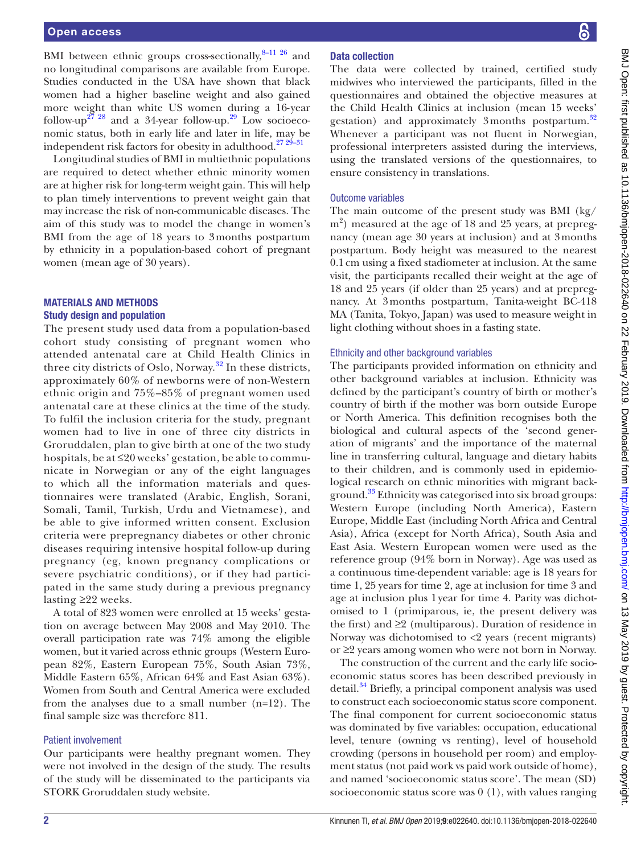BMI between ethnic groups cross-sectionally, $8-11$   $26$  and no longitudinal comparisons are available from Europe. Studies conducted in the USA have shown that black women had a higher baseline weight and also gained more weight than white US women during a 16- year follow-up<sup>[27 28](#page-7-9)</sup> and a 34-year follow-up.<sup>29</sup> Low socioeconomic status, both in early life and later in life, may be independent risk factors for obesity in adulthood.<sup>27</sup>  $29-31$ 

Longitudinal studies of BMI in multiethnic populations are required to detect whether ethnic minority women are at higher risk for long-term weight gain. This will help to plan timely interventions to prevent weight gain that may increase the risk of non-communicable diseases. The aim of this study was to model the change in women's BMI from the age of 18 years to 3months postpartum by ethnicity in a population-based cohort of pregnant women (mean age of 30 years).

#### Materials and methods Study design and population

The present study used data from a population-based cohort study consisting of pregnant women who attended antenatal care at Child Health Clinics in three city districts of Oslo, Norway.<sup>32</sup> In these districts, approximately 60% of newborns were of non-Western ethnic origin and 75%–85% of pregnant women used antenatal care at these clinics at the time of the study. To fulfil the inclusion criteria for the study, pregnant women had to live in one of three city districts in Groruddalen, plan to give birth at one of the two study hospitals, be at ≤20 weeks' gestation, be able to communicate in Norwegian or any of the eight languages to which all the information materials and questionnaires were translated (Arabic, English, Sorani, Somali, Tamil, Turkish, Urdu and Vietnamese), and be able to give informed written consent. Exclusion criteria were prepregnancy diabetes or other chronic diseases requiring intensive hospital follow-up during pregnancy (eg, known pregnancy complications or severe psychiatric conditions), or if they had participated in the same study during a previous pregnancy lasting ≥22 weeks.

A total of 823 women were enrolled at 15 weeks' gestation on average between May 2008 and May 2010. The overall participation rate was 74% among the eligible women, but it varied across ethnic groups (Western European 82%, Eastern European 75%, South Asian 73%, Middle Eastern 65%, African 64% and East Asian 63%). Women from South and Central America were excluded from the analyses due to a small number (n=12). The final sample size was therefore 811.

#### Patient involvement

Our participants were healthy pregnant women. They were not involved in the design of the study. The results of the study will be disseminated to the participants via STORK Groruddalen study website.

#### Data collection

The data were collected by trained, certified study midwives who interviewed the participants, filled in the questionnaires and obtained the objective measures at the Child Health Clinics at inclusion (mean 15 weeks' gestation) and approximately 3months postpartum. $32$ Whenever a participant was not fluent in Norwegian, professional interpreters assisted during the interviews, using the translated versions of the questionnaires, to ensure consistency in translations.

#### Outcome variables

The main outcome of the present study was BMI (kg/ m<sup>2</sup>) measured at the age of 18 and 25 years, at prepregnancy (mean age 30 years at inclusion) and at 3months postpartum. Body height was measured to the nearest 0.1cm using a fixed stadiometer at inclusion. At the same visit, the participants recalled their weight at the age of 18 and 25 years (if older than 25 years) and at prepregnancy. At 3months postpartum, Tanita-weight BC-418 MA (Tanita, Tokyo, Japan) was used to measure weight in light clothing without shoes in a fasting state.

#### Ethnicity and other background variables

The participants provided information on ethnicity and other background variables at inclusion. Ethnicity was defined by the participant's country of birth or mother's country of birth if the mother was born outside Europe or North America. This definition recognises both the biological and cultural aspects of the 'second generation of migrants' and the importance of the maternal line in transferring cultural, language and dietary habits to their children, and is commonly used in epidemiological research on ethnic minorities with migrant background.<sup>33</sup> Ethnicity was categorised into six broad groups: Western Europe (including North America), Eastern Europe, Middle East (including North Africa and Central Asia), Africa (except for North Africa), South Asia and East Asia. Western European women were used as the reference group (94% born in Norway). Age was used as a continuous time-dependent variable: age is 18 years for time 1, 25 years for time 2, age at inclusion for time 3 and age at inclusion plus 1year for time 4. Parity was dichotomised to 1 (primiparous, ie, the present delivery was the first) and ≥2 (multiparous). Duration of residence in Norway was dichotomised to <2 years (recent migrants) or ≥2 years among women who were not born in Norway.

The construction of the current and the early life socioeconomic status scores has been described previously in detail.<sup>34</sup> Briefly, a principal component analysis was used to construct each socioeconomic status score component. The final component for current socioeconomic status was dominated by five variables: occupation, educational level, tenure (owning vs renting), level of household crowding (persons in household per room) and employment status (not paid work vs paid work outside of home), and named 'socioeconomic status score'. The mean (SD) socioeconomic status score was 0 (1), with values ranging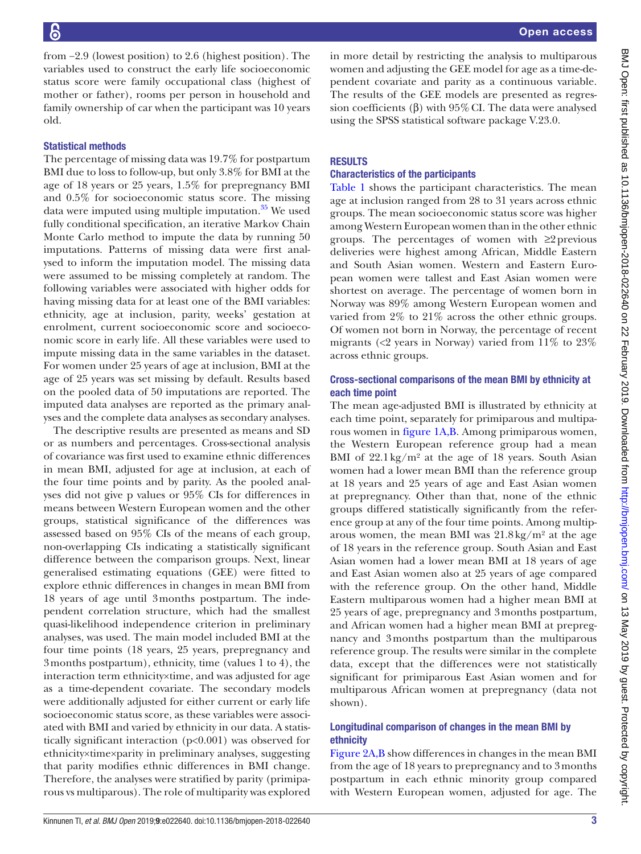from −2.9 (lowest position) to 2.6 (highest position). The variables used to construct the early life socioeconomic status score were family occupational class (highest of mother or father), rooms per person in household and family ownership of car when the participant was 10 years old.

#### Statistical methods

The percentage of missing data was 19.7% for postpartum BMI due to loss to follow-up, but only 3.8% for BMI at the age of 18 years or 25 years, 1.5% for prepregnancy BMI and 0.5% for socioeconomic status score. The missing data were imputed using multiple imputation. $35$  We used fully conditional specification, an iterative Markov Chain Monte Carlo method to impute the data by running 50 imputations. Patterns of missing data were first analysed to inform the imputation model. The missing data were assumed to be missing completely at random. The following variables were associated with higher odds for having missing data for at least one of the BMI variables: ethnicity, age at inclusion, parity, weeks' gestation at enrolment, current socioeconomic score and socioeconomic score in early life. All these variables were used to impute missing data in the same variables in the dataset. For women under 25 years of age at inclusion, BMI at the age of 25 years was set missing by default. Results based on the pooled data of 50 imputations are reported. The imputed data analyses are reported as the primary analyses and the complete data analyses as secondary analyses.

The descriptive results are presented as means and SD or as numbers and percentages. Cross-sectional analysis of covariance was first used to examine ethnic differences in mean BMI, adjusted for age at inclusion, at each of the four time points and by parity. As the pooled analyses did not give p values or 95% CIs for differences in means between Western European women and the other groups, statistical significance of the differences was assessed based on 95% CIs of the means of each group, non-overlapping CIs indicating a statistically significant difference between the comparison groups. Next, linear generalised estimating equations (GEE) were fitted to explore ethnic differences in changes in mean BMI from 18 years of age until 3months postpartum. The independent correlation structure, which had the smallest quasi-likelihood independence criterion in preliminary analyses, was used. The main model included BMI at the four time points (18 years, 25 years, prepregnancy and 3months postpartum), ethnicity, time (values 1 to 4), the interaction term ethnicity×time, and was adjusted for age as a time-dependent covariate. The secondary models were additionally adjusted for either current or early life socioeconomic status score, as these variables were associated with BMI and varied by ethnicity in our data. A statistically significant interaction (p<0.001) was observed for ethnicity×time×parity in preliminary analyses, suggesting that parity modifies ethnic differences in BMI change. Therefore, the analyses were stratified by parity (primiparous vs multiparous). The role of multiparity was explored

in more detail by restricting the analysis to multiparous women and adjusting the GEE model for age as a time-dependent covariate and parity as a continuous variable. The results of the GEE models are presented as regression coefficients (β) with  $95\%$  CI. The data were analysed using the SPSS statistical software package V.23.0.

#### **RESULTS**

#### Characteristics of the participants

[Table](#page-3-0) 1 shows the participant characteristics. The mean age at inclusion ranged from 28 to 31 years across ethnic groups. The mean socioeconomic status score was higher among Western European women than in the other ethnic groups. The percentages of women with  $\geq$  previous deliveries were highest among African, Middle Eastern and South Asian women. Western and Eastern European women were tallest and East Asian women were shortest on average. The percentage of women born in Norway was 89% among Western European women and varied from 2% to 21% across the other ethnic groups. Of women not born in Norway, the percentage of recent migrants ( $\langle 2 \rangle$  years in Norway) varied from 11% to 23% across ethnic groups.

#### Cross-sectional comparisons of the mean BMI by ethnicity at each time point

The mean age-adjusted BMI is illustrated by ethnicity at each time point, separately for primiparous and multiparous women in [figure](#page-4-0) 1A,B. Among primiparous women, the Western European reference group had a mean BMI of  $22.1 \text{ kg/m}^2$  at the age of 18 years. South Asian women had a lower mean BMI than the reference group at 18 years and 25 years of age and East Asian women at prepregnancy. Other than that, none of the ethnic groups differed statistically significantly from the reference group at any of the four time points. Among multiparous women, the mean BMI was  $21.8 \text{ kg/m}^2$  at the age of 18 years in the reference group. South Asian and East Asian women had a lower mean BMI at 18 years of age and East Asian women also at 25 years of age compared with the reference group. On the other hand, Middle Eastern multiparous women had a higher mean BMI at 25 years of age, prepregnancy and 3months postpartum, and African women had a higher mean BMI at prepregnancy and 3months postpartum than the multiparous reference group. The results were similar in the complete data, except that the differences were not statistically significant for primiparous East Asian women and for multiparous African women at prepregnancy (data not shown).

#### Longitudinal comparison of changes in the mean BMI by ethnicity

[Figure](#page-5-0) 2A,B show differences in changes in the mean BMI from the age of 18 years to prepregnancy and to 3months postpartum in each ethnic minority group compared with Western European women, adjusted for age. The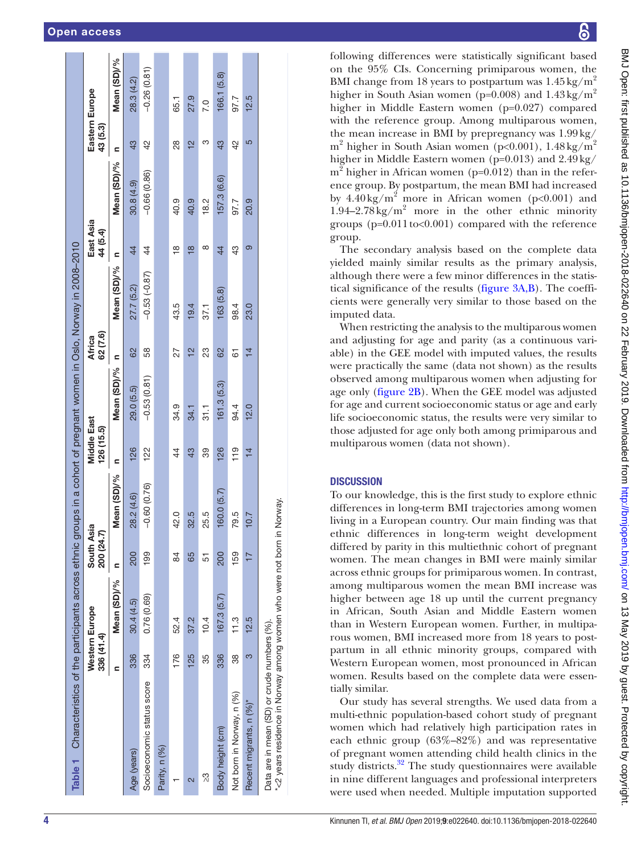| Mean (SD)/%<br>$-0.53(-0.87)$<br>27.7 (5.2)<br>163 (5.8)<br>43.5<br>19.4<br>98.4<br>37.1<br>82<br>58<br>23<br>62<br>27<br>으<br>61<br>Ξ<br>Mean (SD)/%<br>$-0.53(0.81)$<br>161.3(5.3)<br>29.0 (5.5)<br>34.9<br>94.4<br>34.1<br>$\frac{1}{3}$<br>126<br>126<br>119<br>122<br>43<br>39<br>$\overline{4}$<br>Ξ<br>Mean (SD)/%<br>$-0.60(0.76)$<br>160.0(5.7)<br>28.2 (4.6)<br>42.0<br>32.5<br>25.5<br>79.5<br>159<br>200<br>199<br>84<br>65<br>200<br>5<br>Mean (SD)/%<br>0.76 (0.69)<br>167.3(5.7)<br>30.4(4.5)<br>37.2<br>11.3<br>52.4<br>10.4<br>336<br>336<br>176<br>125<br>334<br>35<br>88<br>⊆<br>Socioeconomic status score<br>Not born in Norway, n (%)<br>Body height (cm)<br>Parity, n (%)<br>Age (years)<br>က္လ<br>2 |                         | 336 (41.4) | Western Europe | South Asia<br>200 (24.7) |      | <b>Middle East</b><br>126 (15.5) |      | 62 (7.6)<br>Africa |      | East Asia<br>44 (5.4) |               | 43 (5.3)      | Eastern Europe |
|-----------------------------------------------------------------------------------------------------------------------------------------------------------------------------------------------------------------------------------------------------------------------------------------------------------------------------------------------------------------------------------------------------------------------------------------------------------------------------------------------------------------------------------------------------------------------------------------------------------------------------------------------------------------------------------------------------------------------------|-------------------------|------------|----------------|--------------------------|------|----------------------------------|------|--------------------|------|-----------------------|---------------|---------------|----------------|
|                                                                                                                                                                                                                                                                                                                                                                                                                                                                                                                                                                                                                                                                                                                             |                         |            |                |                          |      |                                  |      |                    |      | Ξ                     | Mean (SD)/%   | ⊆             | Mean (SD)/%    |
|                                                                                                                                                                                                                                                                                                                                                                                                                                                                                                                                                                                                                                                                                                                             |                         |            |                |                          |      |                                  |      |                    |      | $\overline{4}$        | 30.8(4.9)     | 43            | 28.3 (4.2)     |
|                                                                                                                                                                                                                                                                                                                                                                                                                                                                                                                                                                                                                                                                                                                             |                         |            |                |                          |      |                                  |      |                    |      | $\overline{4}$        | $-0.66(0.86)$ | 42            | $-0.26(0.81)$  |
|                                                                                                                                                                                                                                                                                                                                                                                                                                                                                                                                                                                                                                                                                                                             |                         |            |                |                          |      |                                  |      |                    |      |                       |               |               |                |
|                                                                                                                                                                                                                                                                                                                                                                                                                                                                                                                                                                                                                                                                                                                             |                         |            |                |                          |      |                                  |      |                    |      | ₽                     | 40.9          | $\frac{8}{2}$ | 65.1           |
|                                                                                                                                                                                                                                                                                                                                                                                                                                                                                                                                                                                                                                                                                                                             |                         |            |                |                          |      |                                  |      |                    |      | $\frac{\infty}{2}$    | 40.9          | $\frac{1}{2}$ | 27.9           |
|                                                                                                                                                                                                                                                                                                                                                                                                                                                                                                                                                                                                                                                                                                                             |                         |            |                |                          |      |                                  |      |                    |      | ∞                     | 18.2          | ო             | $\frac{0}{2}$  |
|                                                                                                                                                                                                                                                                                                                                                                                                                                                                                                                                                                                                                                                                                                                             |                         |            |                |                          |      |                                  |      |                    |      | $\overline{4}$        | 157.3 (6.6)   | 43            | 166.1 (5.8)    |
|                                                                                                                                                                                                                                                                                                                                                                                                                                                                                                                                                                                                                                                                                                                             |                         |            |                |                          |      |                                  |      |                    |      | 43                    | 97.7          | $\frac{2}{4}$ | 97.7           |
| $\overline{4}$                                                                                                                                                                                                                                                                                                                                                                                                                                                                                                                                                                                                                                                                                                              | Recent migrants, n (%)* | 3          | 12.5           |                          | 10.7 |                                  | 12.0 | $\overline{4}$     | 23.0 | ၜာ                    | 20.9          | 5             | 12.5           |

8

following differences were statistically significant based on the 95% CIs. Concerning primiparous women, the BMI change from 18 years to postpartum was  $1.45 \text{ kg/m}^2$ higher in South Asian women ( $p=0.008$ ) and  $1.43 \text{ kg/m}^2$ higher in Middle Eastern women (p=0.027) compared with the reference group. Among multiparous women, the mean increase in BMI by prepregnancy was 1.99kg/  $m^2$  higher in South Asian women (p<0.001), 1.48 kg/m<sup>2</sup> higher in Middle Eastern women (p=0.013) and 2.49kg/  $m^2$  higher in African women (p=0.012) than in the reference group. By postpartum, the mean BMI had increased by  $4.40 \text{ kg/m}^2$  more in African women (p<0.001) and  $1.94 - 2.78 \text{ kg/m}^2$  more in the other ethnic minority groups  $(p=0.011 \text{ to} < 0.001)$  compared with the reference group.

The secondary analysis based on the complete data yielded mainly similar results as the primary analysis, although there were a few minor differences in the statis tical significance of the results [\(figure](#page-6-0) 3A,B). The coeffi cients were generally very similar to those based on the imputed data.

When restricting the analysis to the multiparous women and adjusting for age and parity (as a continuous vari able) in the GEE model with imputed values, the results were practically the same (data not shown) as the results observed among multiparous women when adjusting for age only ([figure](#page-5-0) 2B). When the GEE model was adjusted for age and current socioeconomic status or age and early life socioeconomic status, the results were very similar to those adjusted for age only both among primiparous and multiparous women (data not shown).

### **DISCUSSION**

To our knowledge, this is the first study to explore ethnic differences in long-term BMI trajectories among women living in a European country. Our main finding was that ethnic differences in long-term weight development differed by parity in this multiethnic cohort of pregnant women. The mean changes in BMI were mainly similar across ethnic groups for primiparous women. In contrast, among multiparous women the mean BMI increase was higher between age 18 up until the current pregnancy in African, South Asian and Middle Eastern women than in Western European women. Further, in multiparous women, BMI increased more from 18 years to postpartum in all ethnic minority groups, compared with Western European women, most pronounced in African women. Results based on the complete data were essen tially similar.

<span id="page-3-0"></span>Our study has several strengths. We used data from a multi-ethnic population-based cohort study of pregnant women which had relatively high participation rates in each ethnic group (63%–82%) and was representative of pregnant women attending child health clinics in the study districts.<sup>32</sup> The study questionnaires were available in nine different languages and professional interpreters were used when needed. Multiple imputation supported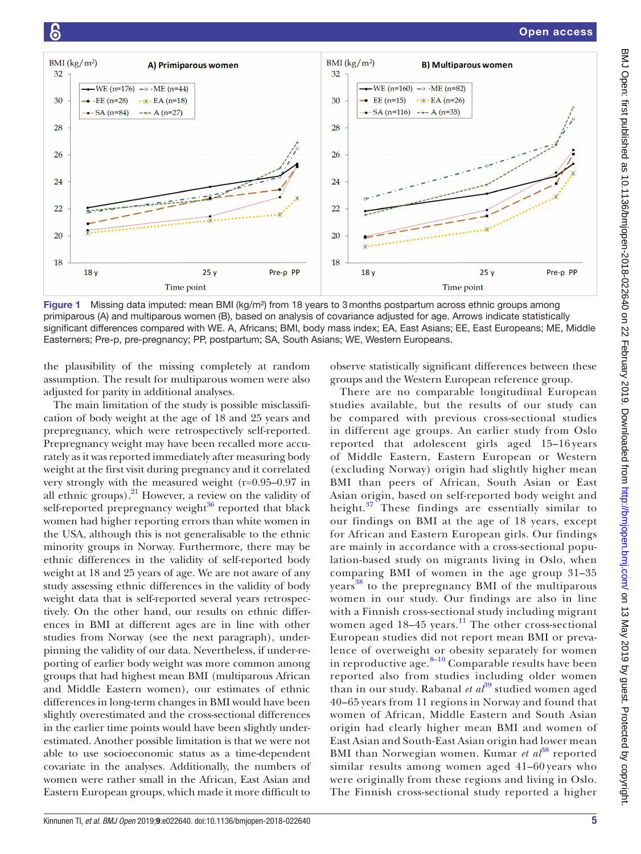

<span id="page-4-0"></span>Figure 1 Missing data imputed: mean BMI (kg/m<sup>2</sup>) from 18 years to 3 months postpartum across ethnic groups among primiparous (A) and multiparous women (B), based on analysis of covariance adjusted for age. Arrows indicate statistically significant differences compared with WE. A, Africans; BMI, body mass index; EA, East Asians; EE, East Europeans; ME, Middle Easterners; Pre-p, pre-pregnancy; PP, postpartum; SA, South Asians; WE, Western Europeans.

the plausibility of the missing completely at random assumption. The result for multiparous women were also adjusted for parity in additional analyses.

The main limitation of the study is possible misclassification of body weight at the age of 18 and 25 years and prepregnancy, which were retrospectively self-reported. Prepregnancy weight may have been recalled more accurately as it was reported immediately after measuring body weight at the first visit during pregnancy and it correlated very strongly with the measured weight (r=0.95–0.97 in all ethnic groups). $^{21}$  However, a review on the validity of self-reported prepregnancy weight $36$  reported that black women had higher reporting errors than white women in the USA, although this is not generalisable to the ethnic minority groups in Norway. Furthermore, there may be ethnic differences in the validity of self-reported body weight at 18 and 25 years of age. We are not aware of any study assessing ethnic differences in the validity of body weight data that is self-reported several years retrospectively. On the other hand, our results on ethnic differences in BMI at different ages are in line with other studies from Norway (see the next paragraph), underpinning the validity of our data. Nevertheless, if under-reporting of earlier body weight was more common among groups that had highest mean BMI (multiparous African and Middle Eastern women), our estimates of ethnic differences in long-term changes in BMI would have been slightly overestimated and the cross-sectional differences in the earlier time points would have been slightly underestimated. Another possible limitation is that we were not able to use socioeconomic status as a time-dependent covariate in the analyses. Additionally, the numbers of women were rather small in the African, East Asian and Eastern European groups, which made it more difficult to

observe statistically significant differences between these groups and the Western European reference group.

There are no comparable longitudinal European studies available, but the results of our study can be compared with previous cross-sectional studies in different age groups. An earlier study from Oslo reported that adolescent girls aged 15–16 years of Middle Eastern, Eastern European or Western (excluding Norway) origin had slightly higher mean BMI than peers of African, South Asian or East Asian origin, based on self-reported body weight and height. $37$  These findings are essentially similar to our findings on BMI at the age of 18 years, except for African and Eastern European girls. Our findings are mainly in accordance with a cross-sectional population-based study on migrants living in Oslo, when comparing BMI of women in the age group 31–35 years<sup>[38](#page-8-6)</sup> to the prepregnancy BMI of the multiparous women in our study. Our findings are also in line with a Finnish cross-sectional study including migrant women aged 18-45 years.<sup>11</sup> The other cross-sectional European studies did not report mean BMI or prevalence of overweight or obesity separately for women in reproductive age. $8-10$  Comparable results have been reported also from studies including older women than in our study. Rabanal et al<sup>[39](#page-8-7)</sup> studied women aged 40–65 years from 11 regions in Norway and found that women of African, Middle Eastern and South Asian origin had clearly higher mean BMI and women of East Asian and South-East Asian origin had lower mean BMI than Norwegian women. Kumar *et al*<sup>[38](#page-8-6)</sup> reported similar results among women aged 41–60 years who were originally from these regions and living in Oslo. The Finnish cross-sectional study reported a higher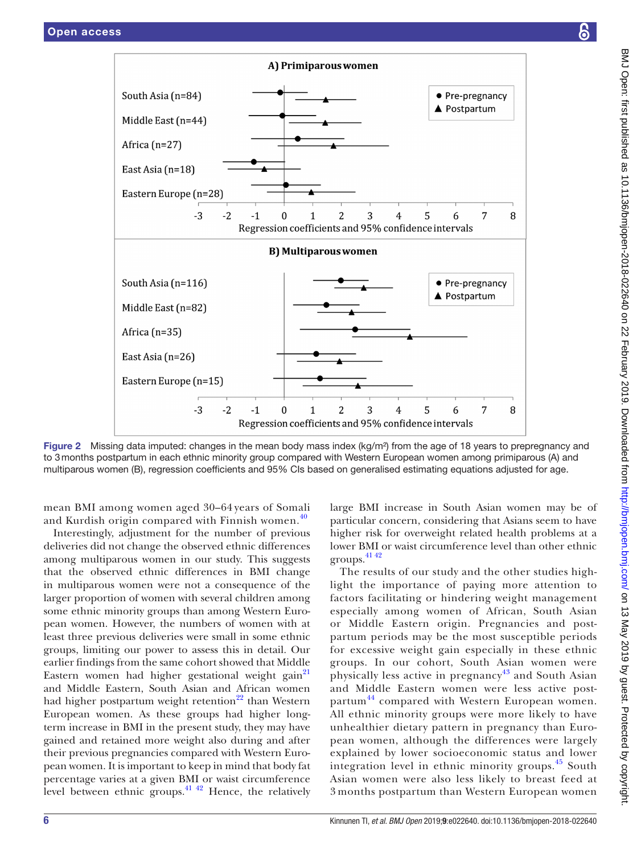

<span id="page-5-0"></span>Figure 2 Missing data imputed: changes in the mean body mass index (kg/m<sup>2</sup>) from the age of 18 years to prepregnancy and to 3months postpartum in each ethnic minority group compared with Western European women among primiparous (A) and multiparous women (B), regression coefficients and 95% CIs based on generalised estimating equations adjusted for age.

mean BMI among women aged 30–64 years of Somali and Kurdish origin compared with Finnish women.<sup>[40](#page-8-8)</sup>

Interestingly, adjustment for the number of previous deliveries did not change the observed ethnic differences among multiparous women in our study. This suggests that the observed ethnic differences in BMI change in multiparous women were not a consequence of the larger proportion of women with several children among some ethnic minority groups than among Western European women. However, the numbers of women with at least three previous deliveries were small in some ethnic groups, limiting our power to assess this in detail. Our earlier findings from the same cohort showed that Middle Eastern women had higher gestational weight gain<sup>21</sup> and Middle Eastern, South Asian and African women had higher postpartum weight retention<sup>22</sup> than Western European women. As these groups had higher longterm increase in BMI in the present study, they may have gained and retained more weight also during and after their previous pregnancies compared with Western European women. It is important to keep in mind that body fat percentage varies at a given BMI or waist circumference level between ethnic groups. $41 \frac{42}{1}$  Hence, the relatively large BMI increase in South Asian women may be of particular concern, considering that Asians seem to have higher risk for overweight related health problems at a lower BMI or waist circumference level than other ethnic groups.[41 42](#page-8-9)

The results of our study and the other studies highlight the importance of paying more attention to factors facilitating or hindering weight management especially among women of African, South Asian or Middle Eastern origin. Pregnancies and postpartum periods may be the most susceptible periods for excessive weight gain especially in these ethnic groups. In our cohort, South Asian women were physically less active in pregnancy<sup>[43](#page-8-10)</sup> and South Asian and Middle Eastern women were less active post-partum<sup>[44](#page-8-11)</sup> compared with Western European women. All ethnic minority groups were more likely to have unhealthier dietary pattern in pregnancy than European women, although the differences were largely explained by lower socioeconomic status and lower integration level in ethnic minority groups.<sup>[45](#page-8-12)</sup> South Asian women were also less likely to breast feed at 3 months postpartum than Western European women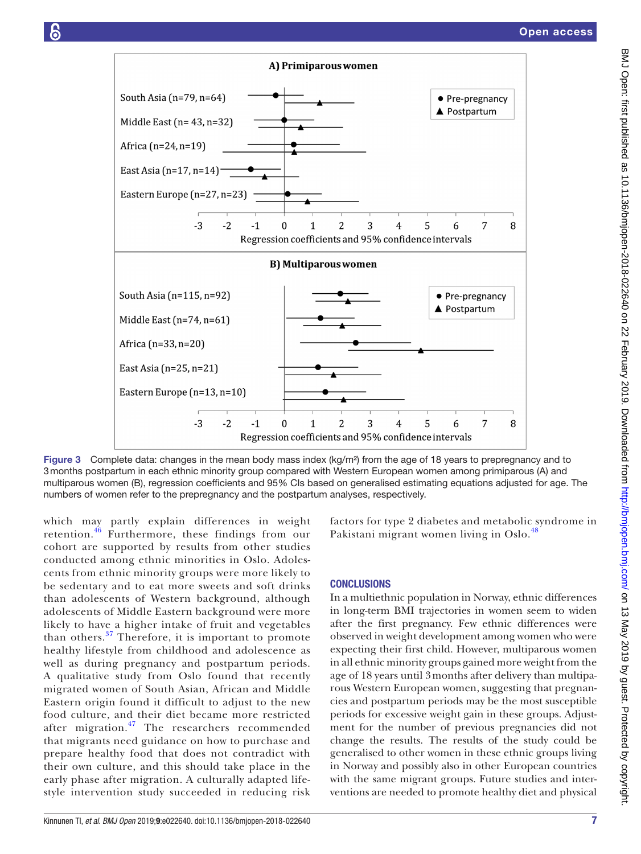

<span id="page-6-0"></span>Figure 3 Complete data: changes in the mean body mass index (kg/m<sup>2</sup>) from the age of 18 years to prepregnancy and to 3months postpartum in each ethnic minority group compared with Western European women among primiparous (A) and multiparous women (B), regression coefficients and 95% CIs based on generalised estimating equations adjusted for age. The numbers of women refer to the prepregnancy and the postpartum analyses, respectively.

which may partly explain differences in weight retention.[46](#page-8-13) Furthermore, these findings from our cohort are supported by results from other studies conducted among ethnic minorities in Oslo. Adolescents from ethnic minority groups were more likely to be sedentary and to eat more sweets and soft drinks than adolescents of Western background, although adolescents of Middle Eastern background were more likely to have a higher intake of fruit and vegetables than others.[37](#page-8-5) Therefore, it is important to promote healthy lifestyle from childhood and adolescence as well as during pregnancy and postpartum periods. A qualitative study from Oslo found that recently migrated women of South Asian, African and Middle Eastern origin found it difficult to adjust to the new food culture, and their diet became more restricted after migration.<sup>[47](#page-8-14)</sup> The researchers recommended that migrants need guidance on how to purchase and prepare healthy food that does not contradict with their own culture, and this should take place in the early phase after migration. A culturally adapted lifestyle intervention study succeeded in reducing risk factors for type 2 diabetes and metabolic syndrome in Pakistani migrant women living in Oslo.<sup>4</sup>

#### **CONCLUSIONS**

In a multiethnic population in Norway, ethnic differences in long-term BMI trajectories in women seem to widen after the first pregnancy. Few ethnic differences were observed in weight development among women who were expecting their first child. However, multiparous women in all ethnic minority groups gained more weight from the age of 18 years until 3months after delivery than multiparous Western European women, suggesting that pregnancies and postpartum periods may be the most susceptible periods for excessive weight gain in these groups. Adjustment for the number of previous pregnancies did not change the results. The results of the study could be generalised to other women in these ethnic groups living in Norway and possibly also in other European countries with the same migrant groups. Future studies and interventions are needed to promote healthy diet and physical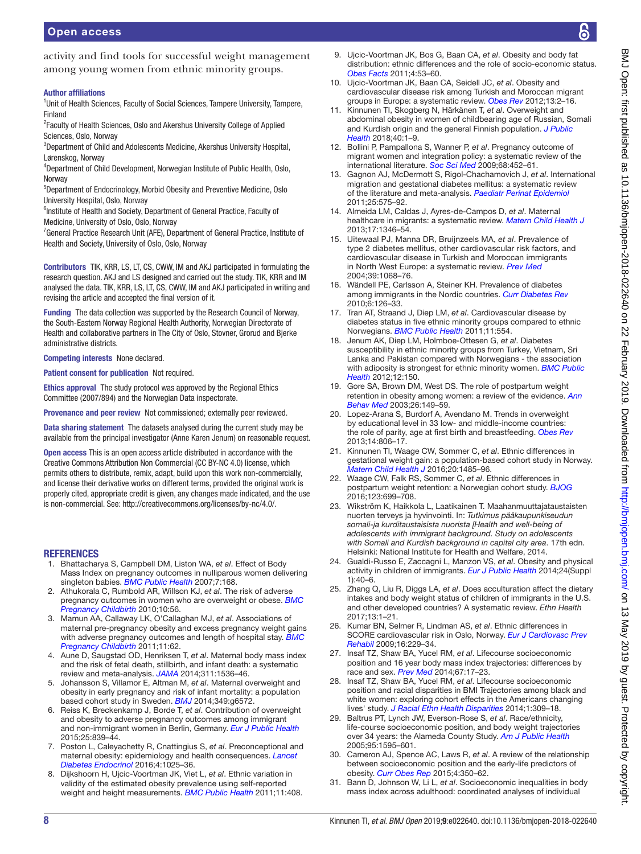activity and find tools for successful weight management among young women from ethnic minority groups.

#### Author affiliations

<sup>1</sup>Unit of Health Sciences, Faculty of Social Sciences, Tampere University, Tampere, Finland

<sup>2</sup> Faculty of Health Sciences, Oslo and Akershus University College of Applied Sciences, Oslo, Norway

<sup>3</sup>Department of Child and Adolescents Medicine, Akershus University Hospital, Lørenskog, Norway

4 Department of Child Development, Norwegian Institute of Public Health, Oslo, Norway

5 Department of Endocrinology, Morbid Obesity and Preventive Medicine, Oslo University Hospital, Oslo, Norway

<sup>6</sup>Institute of Health and Society, Department of General Practice, Faculty of Medicine, University of Oslo, Oslo, Norway

<sup>7</sup> General Practice Research Unit (AFE), Department of General Practice, Institute of Health and Society, University of Oslo, Oslo, Norway

Contributors TIK, KRR, LS, LT, CS, CWW, IM and AKJ participated in formulating the research question. AKJ and LS designed and carried out the study. TIK, KRR and IM analysed the data. TIK, KRR, LS, LT, CS, CWW, IM and AKJ participated in writing and revising the article and accepted the final version of it.

Funding The data collection was supported by the Research Council of Norway, the South-Eastern Norway Regional Health Authority, Norwegian Directorate of Health and collaborative partners in The City of Oslo, Stovner, Grorud and Bjerke administrative districts.

Competing interests None declared.

Patient consent for publication Not required.

Ethics approval The study protocol was approved by the Regional Ethics Committee (2007/894) and the Norwegian Data inspectorate.

Provenance and peer review Not commissioned; externally peer reviewed.

Data sharing statement The datasets analysed during the current study may be available from the principal investigator (Anne Karen Jenum) on reasonable request.

Open access This is an open access article distributed in accordance with the Creative Commons Attribution Non Commercial (CC BY-NC 4.0) license, which permits others to distribute, remix, adapt, build upon this work non-commercially, and license their derivative works on different terms, provided the original work is properly cited, appropriate credit is given, any changes made indicated, and the use is non-commercial. See: <http://creativecommons.org/licenses/by-nc/4.0/>.

#### **REFERENCES**

- <span id="page-7-0"></span>1. Bhattacharya S, Campbell DM, Liston WA, *et al*. Effect of Body Mass Index on pregnancy outcomes in nulliparous women delivering singleton babies. *[BMC Public Health](http://dx.doi.org/10.1186/1471-2458-7-168)* 2007;7:168.
- 2. Athukorala C, Rumbold AR, Willson KJ, *et al*. The risk of adverse pregnancy outcomes in women who are overweight or obese. *[BMC](http://dx.doi.org/10.1186/1471-2393-10-56)  [Pregnancy Childbirth](http://dx.doi.org/10.1186/1471-2393-10-56)* 2010;10:56.
- 3. Mamun AA, Callaway LK, O'Callaghan MJ, *et al*. Associations of maternal pre-pregnancy obesity and excess pregnancy weight gains with adverse pregnancy outcomes and length of hospital stay. *[BMC](http://dx.doi.org/10.1186/1471-2393-11-62)  [Pregnancy Childbirth](http://dx.doi.org/10.1186/1471-2393-11-62)* 2011;11:62.
- 4. Aune D, Saugstad OD, Henriksen T, *et al*. Maternal body mass index and the risk of fetal death, stillbirth, and infant death: a systematic review and meta-analysis. *[JAMA](http://dx.doi.org/10.1001/jama.2014.2269)* 2014;311:1536–46.
- 5. Johansson S, Villamor E, Altman M, *et al*. Maternal overweight and obesity in early pregnancy and risk of infant mortality: a population based cohort study in Sweden. *[BMJ](http://dx.doi.org/10.1136/bmj.g6572)* 2014;349:g6572.
- <span id="page-7-1"></span>6. Reiss K, Breckenkamp J, Borde T, *et al*. Contribution of overweight and obesity to adverse pregnancy outcomes among immigrant and non-immigrant women in Berlin, Germany. *[Eur J Public Health](http://dx.doi.org/10.1093/eurpub/ckv072)* 2015;25:839–44.
- 7. Poston L, Caleyachetty R, Cnattingius S, *et al*. Preconceptional and maternal obesity: epidemiology and health consequences. *[Lancet](http://dx.doi.org/10.1016/S2213-8587(16)30217-0)  [Diabetes Endocrinol](http://dx.doi.org/10.1016/S2213-8587(16)30217-0)* 2016;4:1025–36.
- <span id="page-7-8"></span>8. Dijkshoorn H, Ujcic-Voortman JK, Viet L, *et al*. Ethnic variation in validity of the estimated obesity prevalence using self-reported weight and height measurements. *[BMC Public Health](http://dx.doi.org/10.1186/1471-2458-11-408)* 2011;11:408.
- 9. Ujcic-Voortman JK, Bos G, Baan CA, *et al*. Obesity and body fat distribution: ethnic differences and the role of socio-economic status. *[Obes Facts](http://dx.doi.org/10.1159/000324555)* 2011;4:53–60.
- 10. Ujcic-Voortman JK, Baan CA, Seidell JC, *et al*. Obesity and cardiovascular disease risk among Turkish and Moroccan migrant groups in Europe: a systematic review. *[Obes Rev](http://dx.doi.org/10.1111/j.1467-789X.2011.00932.x)* 2012;13:2–16.
- <span id="page-7-11"></span>11. Kinnunen TI, Skogberg N, Härkänen T, *et al*. Overweight and abdominal obesity in women of childbearing age of Russian, Somali and Kurdish origin and the general Finnish population. *[J Public](http://dx.doi.org/10.1093/pubmed/fdx053)  [Health](http://dx.doi.org/10.1093/pubmed/fdx053)* 2018;40:1–9.
- <span id="page-7-2"></span>12. Bollini P, Pampallona S, Wanner P, *et al*. Pregnancy outcome of migrant women and integration policy: a systematic review of the international literature. *[Soc Sci Med](http://dx.doi.org/10.1016/j.socscimed.2008.10.018)* 2009;68:452–61.
- 13. Gagnon AJ, McDermott S, Rigol-Chachamovich J, *et al*. International migration and gestational diabetes mellitus: a systematic review of the literature and meta-analysis. *[Paediatr Perinat Epidemiol](http://dx.doi.org/10.1111/j.1365-3016.2011.01230.x)* 2011;25:575–92.
- 14. Almeida LM, Caldas J, Ayres-de-Campos D, *et al*. Maternal healthcare in migrants: a systematic review. *[Matern Child Health J](http://dx.doi.org/10.1007/s10995-012-1149-x)* 2013;17:1346–54.
- <span id="page-7-3"></span>15. Uitewaal PJ, Manna DR, Bruijnzeels MA, *et al*. Prevalence of type 2 diabetes mellitus, other cardiovascular risk factors, and cardiovascular disease in Turkish and Moroccan immigrants in North West Europe: a systematic review. *[Prev Med](http://dx.doi.org/10.1016/j.ypmed.2004.04.009)* 2004;39:1068–76.
- 16. Wändell PE, Carlsson A, Steiner KH. Prevalence of diabetes among immigrants in the Nordic countries. *[Curr Diabetes Rev](http://dx.doi.org/10.2174/157339910790909404)* 2010;6:126–33.
- 17. Tran AT, Straand J, Diep LM, *et al*. Cardiovascular disease by diabetes status in five ethnic minority groups compared to ethnic Norwegians. *[BMC Public Health](http://dx.doi.org/10.1186/1471-2458-11-554)* 2011;11:554.
- 18. Jenum AK, Diep LM, Holmboe-Ottesen G, *et al*. Diabetes susceptibility in ethnic minority groups from Turkey, Vietnam, Sri Lanka and Pakistan compared with Norwegians - the association with adiposity is strongest for ethnic minority women. *[BMC Public](http://dx.doi.org/10.1186/1471-2458-12-150)  [Health](http://dx.doi.org/10.1186/1471-2458-12-150)* 2012;12:150.
- <span id="page-7-4"></span>19. Gore SA, Brown DM, West DS. The role of postpartum weight retention in obesity among women: a review of the evidence. *[Ann](http://dx.doi.org/10.1207/S15324796ABM2602_07)  [Behav Med](http://dx.doi.org/10.1207/S15324796ABM2602_07)* 2003;26:149–59.
- 20. Lopez-Arana S, Burdorf A, Avendano M. Trends in overweight by educational level in 33 low- and middle-income countries: the role of parity, age at first birth and breastfeeding. *[Obes Rev](http://dx.doi.org/10.1111/obr.12051)* 2013;14:806–17.
- <span id="page-7-5"></span>21. Kinnunen TI, Waage CW, Sommer C, *et al*. Ethnic differences in gestational weight gain: a population-based cohort study in Norway. *[Matern Child Health J](http://dx.doi.org/10.1007/s10995-016-1947-7)* 2016;20:1485–96.
- <span id="page-7-6"></span>22. Waage CW, Falk RS, Sommer C, *et al*. Ethnic differences in postpartum weight retention: a Norwegian cohort study. *[BJOG](http://dx.doi.org/10.1111/1471-0528.13321)* 2016;123:699–708.
- <span id="page-7-7"></span>23. Wikström K, Haikkola L, Laatikainen T. Maahanmuuttajataustaisten nuorten terveys ja hyvinvointi. In: *Tutkimus pääkaupunkiseudun somali-ja kurditaustaisista nuorista [Health and well-being of adolescents with immigrant background. Study on adolescents with Somali and Kurdish background in capital city area*. 17th edn. Helsinki: National Institute for Health and Welfare, 2014.
- 24. Gualdi-Russo E, Zaccagni L, Manzon VS, *et al*. Obesity and physical activity in children of immigrants. *[Eur J Public Health](http://dx.doi.org/10.1093/eurpub/cku111)* 2014;24(Suppl 1):40–6.
- 25. Zhang Q, Liu R, Diggs LA, *et al*. Does acculturation affect the dietary intakes and body weight status of children of immigrants in the U.S. and other developed countries? A systematic review. *Ethn Health* 2017;13:1–21.
- 26. Kumar BN, Selmer R, Lindman AS, *et al*. Ethnic differences in SCORE cardiovascular risk in Oslo, Norway. *[Eur J Cardiovasc Prev](http://dx.doi.org/10.1097/HJR.0b013e3283294b07)  [Rehabil](http://dx.doi.org/10.1097/HJR.0b013e3283294b07)* 2009;16:229–34.
- <span id="page-7-9"></span>27. Insaf TZ, Shaw BA, Yucel RM, *et al*. Lifecourse socioeconomic position and 16 year body mass index trajectories: differences by race and sex. *[Prev Med](http://dx.doi.org/10.1016/j.ypmed.2014.06.024)* 2014;67:17–23.
- 28. Insaf TZ, Shaw BA, Yucel RM, *et al*. Lifecourse socioeconomic position and racial disparities in BMI Trajectories among black and white women: exploring cohort effects in the Americans changing lives' study. *[J Racial Ethn Health Disparities](http://dx.doi.org/10.1007/s40615-014-0038-y)* 2014;1:309–18.
- <span id="page-7-10"></span>29. Baltrus PT, Lynch JW, Everson-Rose S, *et al*. Race/ethnicity, life-course socioeconomic position, and body weight trajectories over 34 years: the Alameda County Study. *[Am J Public Health](http://dx.doi.org/10.2105/AJPH.2004.046292)* 2005;95:1595–601.
- 30. Cameron AJ, Spence AC, Laws R, *et al*. A review of the relationship between socioeconomic position and the early-life predictors of obesity. *[Curr Obes Rep](http://dx.doi.org/10.1007/s13679-015-0168-5)* 2015;4:350–62.
- Bann D, Johnson W, Li L, et al. Socioeconomic inequalities in body mass index across adulthood: coordinated analyses of individual